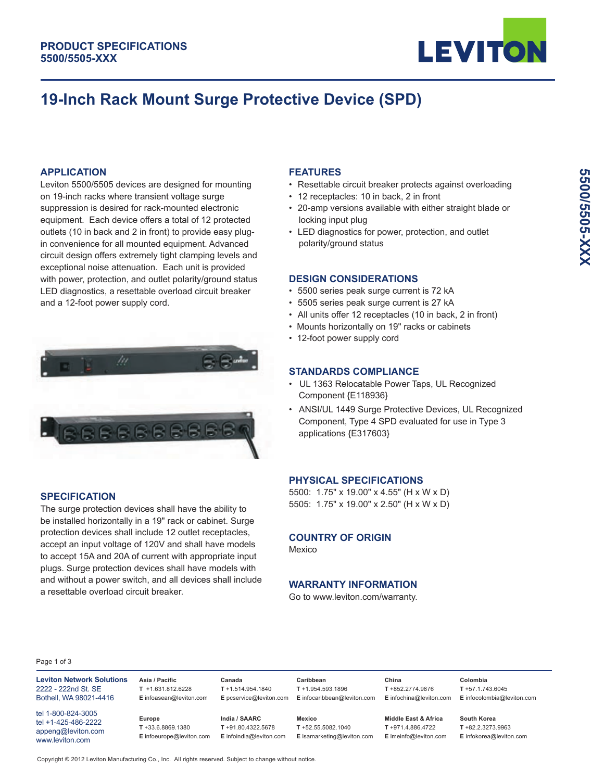

# **19-Inch Rack Mount Surge Protective Device (SPD)**

#### **APPLICATION**

Leviton 5500/5505 devices are designed for mounting on 19-inch racks where transient voltage surge suppression is desired for rack-mounted electronic equipment. Each device offers a total of 12 protected outlets (10 in back and 2 in front) to provide easy plugin convenience for all mounted equipment. Advanced circuit design offers extremely tight clamping levels and exceptional noise attenuation. Each unit is provided with power, protection, and outlet polarity/ground status LED diagnostics, a resettable overload circuit breaker and a 12-foot power supply cord.



#### **SPECIFICATION**

The surge protection devices shall have the ability to be installed horizontally in a 19" rack or cabinet. Surge protection devices shall include 12 outlet receptacles, accept an input voltage of 120V and shall have models to accept 15A and 20A of current with appropriate input plugs. Surge protection devices shall have models with and without a power switch, and all devices shall include a resettable overload circuit breaker.

#### **FEATURES**

- Resettable circuit breaker protects against overloading
- 12 receptacles: 10 in back, 2 in front
- 20-amp versions available with either straight blade or locking input plug
- LED diagnostics for power, protection, and outlet polarity/ground status

#### **DESIGN CONSIDERATIONS**

- 5500 series peak surge current is 72 kA
- 5505 series peak surge current is 27 kA
- All units offer 12 receptacles (10 in back, 2 in front)
- Mounts horizontally on 19" racks or cabinets
- 12-foot power supply cord

#### **STANDARDS COMPLIANCE**

- UL 1363 Relocatable Power Taps, UL Recognized Component {E118936}
- ANSI/UL 1449 Surge Protective Devices, UL Recognized Component, Type 4 SPD evaluated for use in Type 3 applications {E317603}

#### **PHYSICAL SPECIFICATIONS**

5500: 1.75" x 19.00" x 4.55" (H x W x D) 5505: 1.75" x 19.00" x 2.50" (H x W x D)

#### **COUNTRY OF ORIGIN**

Mexico

#### **WARRANTY INFORMATION**

Go to www.leviton.com/warranty.

#### Page 1 of 3

**Leviton Network Solutions** 2222 - 222nd St. SE Bothell, WA 98021-4416

tel 1-800-824-3005 tel +1-425-486-2222 appeng@leviton.com www.leviton.com

**Asia / Pacific T** +1.631.812.6228 **E** infoasean@leviton.com

> **Europe T** +33.6.8869.1380

**India / SAARC T** +91.80.4322.5678

**Canada T** +1.514.954.1840

**E** pcservice@leviton.com **E** infocaribbean@leviton.com **T** +1.954.593.1896 **Mexico**

**Caribbean**

**E** infoeurope@leviton.com **E** infoindia@leviton.com **E** lsamarketing@leviton.com **T** +52.55.5082.1040

**Middle East & Africa T** +971.4.886.4722 **E** lmeinfo@leviton.com

**China T** +852.2774.9876 **E** infochina@leviton.com

**T** +57.1.743.6045 **E** infocolombia@leviton.com

**Colombia** 

**South Korea T** +82.2.3273.9963 **E** infokorea@leviton.com

**5500/5505-XXX**

5500/5505-XXXX

Copyright © 2012 Leviton Manufacturing Co., Inc. All rights reserved. Subject to change without notice.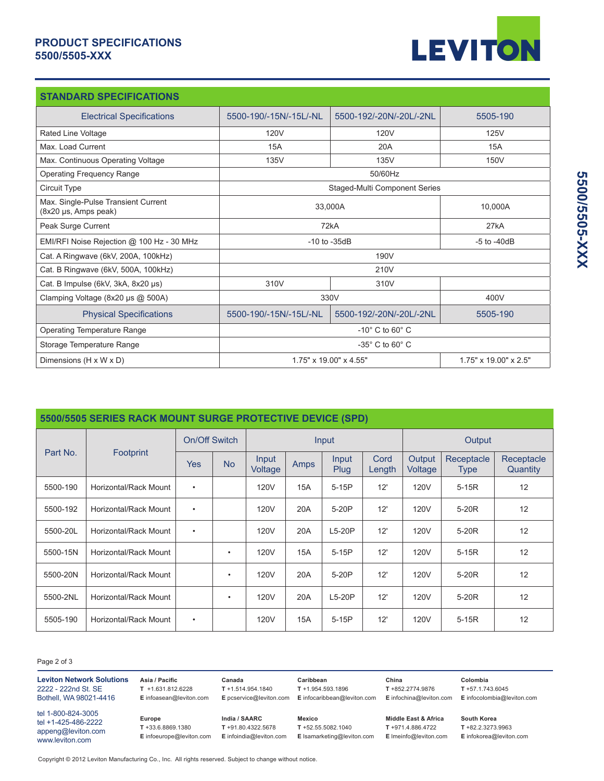### **PRODUCT SPECIFICATIONS 5500/5505-XXX**



| <b>STANDARD SPECIFICATIONS</b>                              |                                                             |                         |          |  |  |  |
|-------------------------------------------------------------|-------------------------------------------------------------|-------------------------|----------|--|--|--|
| <b>Electrical Specifications</b>                            | 5500-190/-15N/-15L/-NL                                      | 5500-192/-20N/-20L/-2NL | 5505-190 |  |  |  |
| Rated Line Voltage                                          | 120 <sub>V</sub>                                            | 120V                    | 125V     |  |  |  |
| Max. Load Current                                           | 15A                                                         | 20A                     | 15A      |  |  |  |
| Max. Continuous Operating Voltage                           | 135V<br>135V                                                |                         | 150V     |  |  |  |
| <b>Operating Frequency Range</b>                            | 50/60Hz                                                     |                         |          |  |  |  |
| Circuit Type                                                | Staged-Multi Component Series                               |                         |          |  |  |  |
| Max. Single-Pulse Transient Current<br>(8x20 µs, Amps peak) | 33,000A                                                     | 10,000A                 |          |  |  |  |
| Peak Surge Current                                          | 72kA                                                        | 27kA                    |          |  |  |  |
| EMI/RFI Noise Rejection @ 100 Hz - 30 MHz                   | $-10$ to $-35dB$                                            | $-5$ to $-40dB$         |          |  |  |  |
| Cat. A Ringwave (6kV, 200A, 100kHz)                         | 190V                                                        |                         |          |  |  |  |
| Cat. B Ringwave (6kV, 500A, 100kHz)                         | 210V                                                        |                         |          |  |  |  |
| Cat. B Impulse (6kV, 3kA, 8x20 µs)                          | 310V<br>310V                                                |                         |          |  |  |  |
| Clamping Voltage (8x20 µs @ 500A)                           | 330V                                                        | 400V                    |          |  |  |  |
| <b>Physical Specifications</b>                              | 5500-190/-15N/-15L/-NL                                      | 5500-192/-20N/-20L/-2NL | 5505-190 |  |  |  |
| <b>Operating Temperature Range</b>                          | $-10^\circ$ C to 60 $^\circ$ C                              |                         |          |  |  |  |
| Storage Temperature Range                                   | $-35^\circ$ C to 60 $^\circ$ C                              |                         |          |  |  |  |
| Dimensions (H x W x D)                                      | 1.75" x 19.00" x 4.55"<br>$1.75" \times 19.00" \times 2.5"$ |                         |          |  |  |  |

| 5500/5505 SERIES RACK MOUNT SURGE PROTECTIVE DEVICE (SPD) |                       |            |           |                  |             |               |                |                   |                           |                        |
|-----------------------------------------------------------|-----------------------|------------|-----------|------------------|-------------|---------------|----------------|-------------------|---------------------------|------------------------|
| Part No.<br><b>Footprint</b>                              | On/Off Switch         |            | Input     |                  |             | Output        |                |                   |                           |                        |
|                                                           |                       | <b>Yes</b> | <b>No</b> | Input<br>Voltage | <b>Amps</b> | Input<br>Plug | Cord<br>Length | Output<br>Voltage | Receptacle<br><b>Type</b> | Receptacle<br>Quantity |
| 5500-190                                                  | Horizontal/Rack Mount | $\bullet$  |           | <b>120V</b>      | <b>15A</b>  | $5-15P$       | 12'            | 120V              | $5-15R$                   | 12                     |
| 5500-192                                                  | Horizontal/Rack Mount | $\bullet$  |           | <b>120V</b>      | 20A         | 5-20P         | 12'            | <b>120V</b>       | 5-20 <sub>R</sub>         | 12                     |
| 5500-20L                                                  | Horizontal/Rack Mount | $\bullet$  |           | <b>120V</b>      | 20A         | $L5-20P$      | 12'            | <b>120V</b>       | 5-20 <sub>R</sub>         | 12                     |
| 5500-15N                                                  | Horizontal/Rack Mount |            | ٠         | 120V             | 15A         | $5-15P$       | 12'            | <b>120V</b>       | $5-15R$                   | 12                     |
| 5500-20N                                                  | Horizontal/Rack Mount |            | ٠         | <b>120V</b>      | 20A         | 5-20P         | 12'            | <b>120V</b>       | 5-20 <sub>R</sub>         | 12                     |
| 5500-2NL                                                  | Horizontal/Rack Mount |            | ٠         | <b>120V</b>      | 20A         | $L5-20P$      | 12'            | <b>120V</b>       | 5-20 <sub>R</sub>         | 12                     |
| 5505-190                                                  | Horizontal/Rack Mount | ٠          |           | 120V             | <b>15A</b>  | $5-15P$       | 12'            | <b>120V</b>       | $5-15R$                   | 12                     |

Page 2 of 3

| <b>Leviton Network Solutions</b>                                                   | Asia / Pacific                                             | Canada                                                            | Caribbean                                                     | China                                                              | Colombia                                                       |
|------------------------------------------------------------------------------------|------------------------------------------------------------|-------------------------------------------------------------------|---------------------------------------------------------------|--------------------------------------------------------------------|----------------------------------------------------------------|
| 2222 - 222nd St. SE                                                                | $T + 1.631.812.6228$                                       | $T + 1.514.954.1840$                                              | $T + 1.954.593.1896$                                          | $T + 852.2774.9876$                                                | $T + 57.1.743.6045$                                            |
| Bothell, WA 98021-4416                                                             | E infoasean@leviton.com                                    | E pcservice@leviton.com                                           | E infocaribbean@leviton.com                                   | E infochina@leviton.com                                            | E infocolombia@leviton.com                                     |
| tel 1-800-824-3005<br>tel +1-425-486-2222<br>appeng@leviton.com<br>www.leviton.com | Europe<br>$T + 33.6.8869.1380$<br>E infoeurope@leviton.com | India / SAARC<br>$T + 91.80.4322.5678$<br>E infoindia@leviton.com | Mexico<br>$T + 52.55.5082.1040$<br>E Isamarketing@leviton.com | Middle East & Africa<br>T +971.4.886.4722<br>E Imeinfo@leviton.com | South Korea<br>$T + 82.2.3273.9963$<br>E infokorea@leviton.com |

Copyright © 2012 Leviton Manufacturing Co., Inc. All rights reserved. Subject to change without notice.